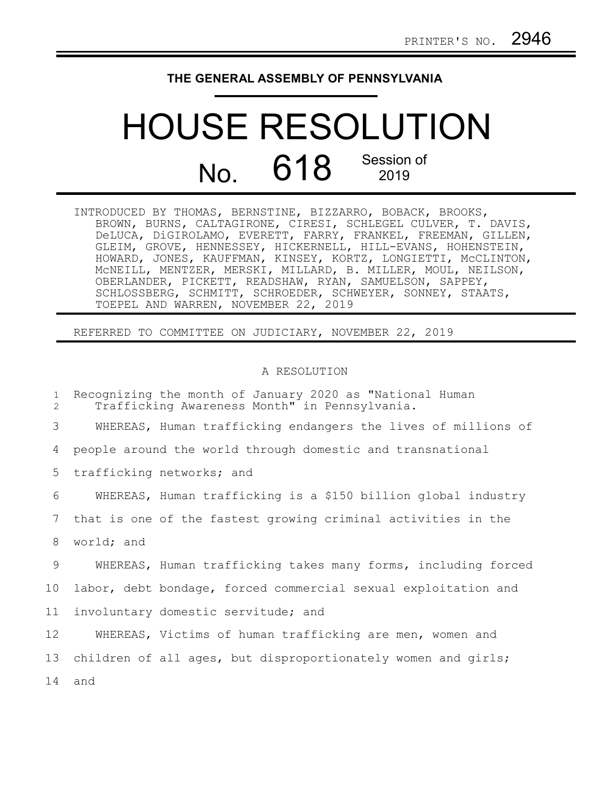## **THE GENERAL ASSEMBLY OF PENNSYLVANIA**

## HOUSE RESOLUTION No. 618 Session of

INTRODUCED BY THOMAS, BERNSTINE, BIZZARRO, BOBACK, BROOKS, BROWN, BURNS, CALTAGIRONE, CIRESI, SCHLEGEL CULVER, T. DAVIS, DeLUCA, DiGIROLAMO, EVERETT, FARRY, FRANKEL, FREEMAN, GILLEN, GLEIM, GROVE, HENNESSEY, HICKERNELL, HILL-EVANS, HOHENSTEIN, HOWARD, JONES, KAUFFMAN, KINSEY, KORTZ, LONGIETTI, McCLINTON, McNEILL, MENTZER, MERSKI, MILLARD, B. MILLER, MOUL, NEILSON, OBERLANDER, PICKETT, READSHAW, RYAN, SAMUELSON, SAPPEY, SCHLOSSBERG, SCHMITT, SCHROEDER, SCHWEYER, SONNEY, STAATS, TOEPEL AND WARREN, NOVEMBER 22, 2019

REFERRED TO COMMITTEE ON JUDICIARY, NOVEMBER 22, 2019

## A RESOLUTION

| $\mathbf{1}$<br>$\overline{2}$ | Recognizing the month of January 2020 as "National Human<br>Trafficking Awareness Month" in Pennsylvania. |
|--------------------------------|-----------------------------------------------------------------------------------------------------------|
| 3                              | WHEREAS, Human trafficking endangers the lives of millions of                                             |
| 4                              | people around the world through domestic and transnational                                                |
| 5                              | trafficking networks; and                                                                                 |
| 6                              | WHEREAS, Human trafficking is a \$150 billion global industry                                             |
| 7                              | that is one of the fastest growing criminal activities in the                                             |
| 8                              | world; and                                                                                                |
| 9                              | WHEREAS, Human trafficking takes many forms, including forced                                             |
| 10 <sub>o</sub>                | labor, debt bondage, forced commercial sexual exploitation and                                            |
| 11 <sub>1</sub>                | involuntary domestic servitude; and                                                                       |
| 12                             | WHEREAS, Victims of human trafficking are men, women and                                                  |
| 13                             | children of all ages, but disproportionately women and girls;                                             |
| 14                             | and                                                                                                       |